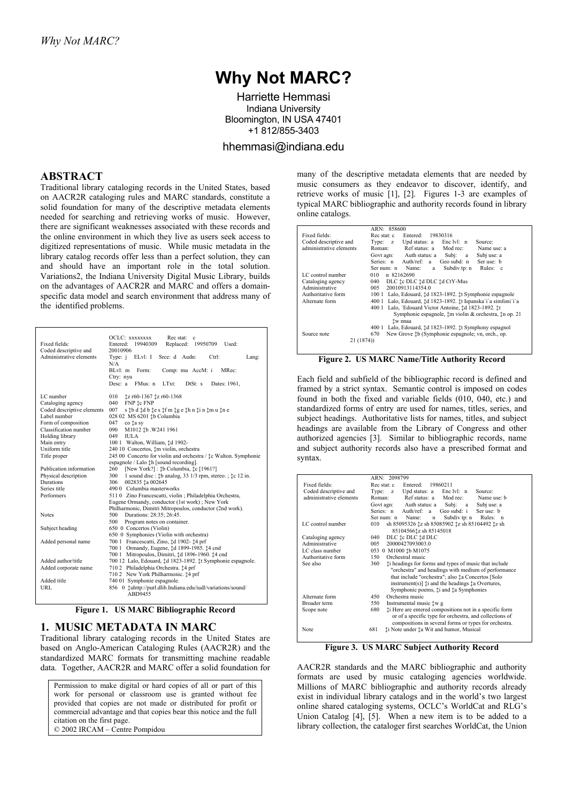# **Why Not MARC?**

Harriette Hemmasi Indiana University Bloomington, IN USA 47401 +1 812/855-3403

hhemmasi@indiana.edu

#### **ABSTRACT**

Traditional library cataloging records in the United States, based on AACR2R cataloging rules and MARC standards, constitute a solid foundation for many of the descriptive metadata elements needed for searching and retrieving works of music. However, there are significant weaknesses associated with these records and the online environment in which they live as users seek access to digitized representations of music. While music metadata in the library catalog records offer less than a perfect solution, they can and should have an important role in the total solution. Variations2, the Indiana University Digital Music Library, builds on the advantages of AACR2R and MARC and offers a domainspecific data model and search environment that address many of the identified problems.

| Fixed fields:<br>Coded descriptive and<br>Administrative elements | OCLC: XXXXXXX<br>Rec stat:<br>c<br>Entered: 19940309<br>Replaced: 19950709 Used:<br>20010906<br>ELvl: I<br>Type: $i$<br>Srce: d Audn:<br>Ctrl:<br>Lang:<br>N/A<br>$B[x]$ m<br>Comp: mu AccM: i<br>MRec:<br>Form:<br>Ctry: nyu<br>Desc: $a$<br>FMus: n<br>LTxt:<br>DtSt: s<br>Dates: 1961, |
|-------------------------------------------------------------------|-------------------------------------------------------------------------------------------------------------------------------------------------------------------------------------------------------------------------------------------------------------------------------------------|
| LC number                                                         | 010<br>‡z r60-1367 ‡z r60-1368                                                                                                                                                                                                                                                            |
| Cataloging agency                                                 | 040<br>FNP tc FNP                                                                                                                                                                                                                                                                         |
| Coded descriptive elements                                        | 007<br>s tb d td b te s tf m tg e th n ti n tm u tn e                                                                                                                                                                                                                                     |
| Label number                                                      | 028 02 MS 6201 ‡b Columbia                                                                                                                                                                                                                                                                |
| Form of composition                                               | 047<br>co ta sy                                                                                                                                                                                                                                                                           |
| Classification number                                             | 090<br>M1012 ‡b. W241 1961                                                                                                                                                                                                                                                                |
| Holding library                                                   | 049<br><b>IULA</b>                                                                                                                                                                                                                                                                        |
| Main entry                                                        | 100 1 Walton, William, 1d 1902-                                                                                                                                                                                                                                                           |
| Uniform title                                                     | 240 10 Concertos, ‡m violin, orchestra                                                                                                                                                                                                                                                    |
| Title proper                                                      | 245 00 Concerto for violin and orchestra / $\frac{4}{5}$ c Walton. Symphonie                                                                                                                                                                                                              |
|                                                                   | espagnole / Lalo <sup><math>\dagger</math>h</sup> [sound recording].                                                                                                                                                                                                                      |
| Publication information                                           | [New York?]: $\sharp$ b Columbia, $\sharp$ c [1961?]<br>260                                                                                                                                                                                                                               |
| Physical description<br><b>Durations</b>                          | 1 sound disc : $\sharp$ b analog, 33 1/3 rpm, stereo. ; $\sharp$ c 12 in.<br>300                                                                                                                                                                                                          |
| Series title                                                      | 306<br>002835 ta 002645<br>490 0 Columbia masterworks                                                                                                                                                                                                                                     |
| Performers                                                        | 511 0 Zino Francescatti, violin ; Philadelphia Orchestra,                                                                                                                                                                                                                                 |
|                                                                   | Eugene Ormandy, conductor (1st work); New York                                                                                                                                                                                                                                            |
|                                                                   | Philharmonic, Dimitri Mitropoulos, conductor (2nd work).                                                                                                                                                                                                                                  |
| <b>Notes</b>                                                      | Durations: 28:35; 26:45.<br>500                                                                                                                                                                                                                                                           |
|                                                                   | Program notes on container.<br>500                                                                                                                                                                                                                                                        |
| Subject heading                                                   | 650 0 Concertos (Violin)                                                                                                                                                                                                                                                                  |
|                                                                   | 650 0 Symphonies (Violin with orchestra)                                                                                                                                                                                                                                                  |
| Added personal name                                               | 700 1 Francescatti, Zino, ±d 1902- ±4 prf                                                                                                                                                                                                                                                 |
|                                                                   | 700 1 Ormandy, Eugene, $\sharp$ d 1899-1985. $\sharp$ 4 cnd                                                                                                                                                                                                                               |
|                                                                   | 700 1 Mitropoulos, Dimitri, ‡d 1896-1960. ‡4 cnd                                                                                                                                                                                                                                          |
| Added author/title                                                | 700 12 Lalo, Edouard, ‡d 1823-1892. ‡t Symphonie espagnole.                                                                                                                                                                                                                               |
| Added corporate name                                              | 710 2 Philadelphia Orchestra. ‡4 prf                                                                                                                                                                                                                                                      |
|                                                                   | 710 2 New York Philharmonic. 14 prf                                                                                                                                                                                                                                                       |
| Added title                                                       | 740 01 Symphonie espagnole.                                                                                                                                                                                                                                                               |
| URL                                                               | 856 0 tuhttp://purl.dlib.Indiana.edu/iudl/variations/sound/<br>ABD9455                                                                                                                                                                                                                    |

**Figure 1. US MARC Bibliographic Record** 

### **1. MUSIC METADATA IN MARC**

Traditional library cataloging records in the United States are based on Anglo-American Cataloging Rules (AACR2R) and the standardized MARC formats for transmitting machine readable data. Together, AACR2R and MARC offer a solid foundation for

Permission to make digital or hard copies of all or part of this work for personal or classroom use is granted without fee provided that copies are not made or distributed for profit or commercial advantage and that copies bear this notice and the full citation on the first page. © 2002 IRCAM – Centre Pompidou

many of the descriptive metadata elements that are needed by music consumers as they endeavor to discover, identify, and retrieve works of music [1], [2]. Figures 1-3 are examples of typical MARC bibliographic and authority records found in library online catalogs.

|                         | ARN: 858600                                                          |
|-------------------------|----------------------------------------------------------------------|
| Fixed fields:           | Entered: 19830316<br>Rec stat: c                                     |
| Coded descriptive and   | Upd status: $a$ Enc lvl: $n$<br>Source:<br>Type: $z$                 |
| administrative elements | Ref status: a Mod rec:<br>Roman:<br>Name use: a                      |
|                         | Govt agn: Auth status: a Subj:<br>Subj use: a<br>a a                 |
|                         | Series: n Auth/ref: a<br>Geo subd: n<br>Ser use: b                   |
|                         | Rules: c<br>Subdiv tp: n<br>Ser num: n Name:<br>a                    |
| LC control number       | 010<br>n 82162690                                                    |
| Cataloging agency       | DLC te DLC td DLC td CtY-Mus<br>040                                  |
| Administrative          | 200109131143540<br>005                                               |
| Authoritative form      | 100 1 Lalo, Edouard, 1d 1823-1892. 1t Symphonie espagnole            |
| Alternate form          | Lalo, Edouard, 1d 1823-1892. 1t Ispanska i a simfoni i a<br>400 1    |
|                         | Lalo, 'Edouard Victor Antoine, ±d 1823-1892. ±t<br>400.1             |
|                         | Symphonie espagnole, 1m violin & orchestra, 1n op. 21                |
|                         | ‡w nnaa                                                              |
|                         | 400 1 Lalo, Edouard, 1d 1823-1892. 1t Symphony espagnol              |
| Source note             | New Grove <sup>†</sup> b (Symphonie espagnole; vn, orch., op.<br>670 |
| 21 (1874))              |                                                                      |
|                         |                                                                      |

**Figure 2. US MARC Name/Title Authority Record** 

Each field and subfield of the bibliographic record is defined and framed by a strict syntax. Semantic control is imposed on codes found in both the fixed and variable fields (010, 040, etc.) and standardized forms of entry are used for names, titles, series, and subject headings. Authoritative lists for names, titles, and subject headings are available from the Library of Congress and other authorized agencies [3]. Similar to bibliographic records, name and subject authority records also have a prescribed format and syntax.

|                         | ARN: 2098799                                                       |
|-------------------------|--------------------------------------------------------------------|
| Fixed fields:           | Entered: 19860211<br>Rec stat: c                                   |
| Coded descriptive and   | Type: z Upd status: a Enc lvl: n<br>Source:                        |
| administrative elements | Roman: Ref status: a Mod rec: Name use: b                          |
|                         | Subj: a<br>Govt agn: Auth status: a<br>Subj use: a                 |
|                         | Geo subd: i<br>Series: n Auth/ref: a<br>Ser use: b                 |
|                         | Subdiv tp: n Rules: n<br>Name:<br>Ser num: n<br>$\mathbf n$        |
| LC control number       | sh 85095326 ‡z sh 85085902 ‡z sh 85104492 ‡z sh<br>010             |
|                         | 85104566‡z sh 85145018                                             |
| Cataloging agency       | DLC te DLC td DLC<br>040                                           |
| Administrative          | 20000427093003.0<br>005                                            |
| LC class number         | 053 0 M1000 tb M1075                                               |
| Authoritative form      | Orchestral music<br>150                                            |
| See also                | 360<br>ti headings for forms and types of music that include       |
|                         | "orchestra" and headings with medium of performance                |
|                         | that include "orchestra"; also $\sharp$ a Concertos [Solo          |
|                         | instrument(s)] $\ddagger$ and the headings $\ddagger$ a Overtures, |
|                         | Symphonic poems, ti and ta Symphonies                              |
| Alternate form          | Orchestra music<br>450                                             |
| Broader term            | 550<br>Instrumental music <sup>t</sup> w g                         |
| Scope note              | ti Here are entered compositions not in a specific form<br>680     |
|                         | or of a specific type for orchestra, and collections of            |
|                         | compositions in several forms or types for orchestra.              |
| Note                    | ti Note under ta Wit and humor, Musical<br>681                     |

**Figure 3. US MARC Subject Authority Record** 

AACR2R standards and the MARC bibliographic and authority formats are used by music cataloging agencies worldwide. Millions of MARC bibliographic and authority records already exist in individual library catalogs and in the world's two largest online shared cataloging systems, OCLC's WorldCat and RLG's Union Catalog [4], [5]. When a new item is to be added to a library collection, the cataloger first searches WorldCat, the Union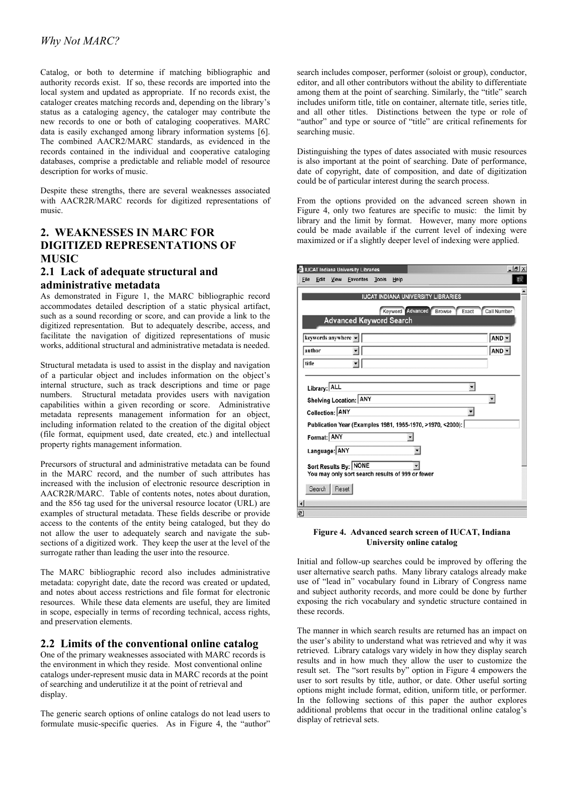Catalog, or both to determine if matching bibliographic and authority records exist. If so, these records are imported into the local system and updated as appropriate. If no records exist, the cataloger creates matching records and, depending on the library's status as a cataloging agency, the cataloger may contribute the new records to one or both of cataloging cooperatives. MARC data is easily exchanged among library information systems [6]. The combined AACR2/MARC standards, as evidenced in the records contained in the individual and cooperative cataloging databases, comprise a predictable and reliable model of resource description for works of music.

Despite these strengths, there are several weaknesses associated with AACR2R/MARC records for digitized representations of music.

# **2. WEAKNESSES IN MARC FOR DIGITIZED REPRESENTATIONS OF MUSIC**

# **2.1 Lack of adequate structural and administrative metadata**

As demonstrated in Figure 1, the MARC bibliographic record accommodates detailed description of a static physical artifact, such as a sound recording or score, and can provide a link to the digitized representation. But to adequately describe, access, and facilitate the navigation of digitized representations of music works, additional structural and administrative metadata is needed.

Structural metadata is used to assist in the display and navigation of a particular object and includes information on the object's internal structure, such as track descriptions and time or page numbers. Structural metadata provides users with navigation capabilities within a given recording or score. Administrative metadata represents management information for an object, including information related to the creation of the digital object (file format, equipment used, date created, etc.) and intellectual property rights management information.

Precursors of structural and administrative metadata can be found in the MARC record, and the number of such attributes has increased with the inclusion of electronic resource description in AACR2R/MARC. Table of contents notes, notes about duration, and the 856 tag used for the universal resource locator (URL) are examples of structural metadata. These fields describe or provide access to the contents of the entity being cataloged, but they do not allow the user to adequately search and navigate the subsections of a digitized work. They keep the user at the level of the surrogate rather than leading the user into the resource.

The MARC bibliographic record also includes administrative metadata: copyright date, date the record was created or updated, and notes about access restrictions and file format for electronic resources. While these data elements are useful, they are limited in scope, especially in terms of recording technical, access rights, and preservation elements.

### **2.2 Limits of the conventional online catalog**

One of the primary weaknesses associated with MARC records is the environment in which they reside. Most conventional online catalogs under-represent music data in MARC records at the point of searching and underutilize it at the point of retrieval and display.

The generic search options of online catalogs do not lead users to formulate music-specific queries. As in Figure 4, the "author"

search includes composer, performer (soloist or group), conductor, editor, and all other contributors without the ability to differentiate among them at the point of searching. Similarly, the "title" search includes uniform title, title on container, alternate title, series title, and all other titles. Distinctions between the type or role of "author" and type or source of "title" are critical refinements for searching music.

Distinguishing the types of dates associated with music resources is also important at the point of searching. Date of performance, date of copyright, date of composition, and date of digitization could be of particular interest during the search process.

From the options provided on the advanced screen shown in Figure 4, only two features are specific to music: the limit by library and the limit by format. However, many more options could be made available if the current level of indexing were maximized or if a slightly deeper level of indexing were applied.

|                                                            |              |                     | <b>El IUCAT Indiana University Libraries</b> |              |      |                                                  | $   \frac{1}{2}$ $\times$ |
|------------------------------------------------------------|--------------|---------------------|----------------------------------------------|--------------|------|--------------------------------------------------|---------------------------|
| Eile                                                       | Edit         | View                | <b>Eavorites</b>                             | <b>Tools</b> | Help |                                                  | 田                         |
|                                                            |              |                     |                                              |              |      | <b>IUCAT INDIANA UNIVERSITY LIBRARIES</b>        |                           |
|                                                            |              |                     |                                              |              |      |                                                  |                           |
|                                                            |              |                     |                                              |              |      | Keyword Advanced Browse<br>Exact                 | <b>Call Number</b>        |
|                                                            |              |                     | <b>Advanced Keyword Search</b>               |              |      |                                                  |                           |
|                                                            |              | keywords anywhere v |                                              |              |      |                                                  | $AND -$                   |
| author                                                     |              |                     |                                              |              |      |                                                  | $AND -$                   |
| title                                                      |              |                     |                                              |              |      |                                                  |                           |
|                                                            |              |                     |                                              |              |      |                                                  |                           |
|                                                            | Library: ALL |                     |                                              |              |      | ▼                                                |                           |
| Shelving Location: ANY                                     |              |                     |                                              |              |      |                                                  |                           |
| Collection: ANY<br>۳                                       |              |                     |                                              |              |      |                                                  |                           |
| Publication Year (Examples 1981, 1965-1970, >1970, <2000): |              |                     |                                              |              |      |                                                  |                           |
|                                                            | Format: ANY  |                     |                                              |              |      |                                                  |                           |
| Language: ANY                                              |              |                     |                                              |              |      |                                                  |                           |
|                                                            |              |                     | Sort Results By: NONE                        |              |      |                                                  |                           |
|                                                            |              |                     |                                              |              |      | You may only sort search results of 999 or fewer |                           |
|                                                            | Search       | Reset               |                                              |              |      |                                                  |                           |
| $\left  \cdot \right $                                     |              |                     |                                              |              |      |                                                  |                           |
| ø1                                                         |              |                     |                                              |              |      |                                                  |                           |

**Figure 4. Advanced search screen of IUCAT, Indiana University online catalog** 

Initial and follow-up searches could be improved by offering the user alternative search paths. Many library catalogs already make use of "lead in" vocabulary found in Library of Congress name and subject authority records, and more could be done by further exposing the rich vocabulary and syndetic structure contained in these records.

The manner in which search results are returned has an impact on the user's ability to understand what was retrieved and why it was retrieved. Library catalogs vary widely in how they display search results and in how much they allow the user to customize the result set. The "sort results by" option in Figure 4 empowers the user to sort results by title, author, or date. Other useful sorting options might include format, edition, uniform title, or performer. In the following sections of this paper the author explores additional problems that occur in the traditional online catalog's display of retrieval sets.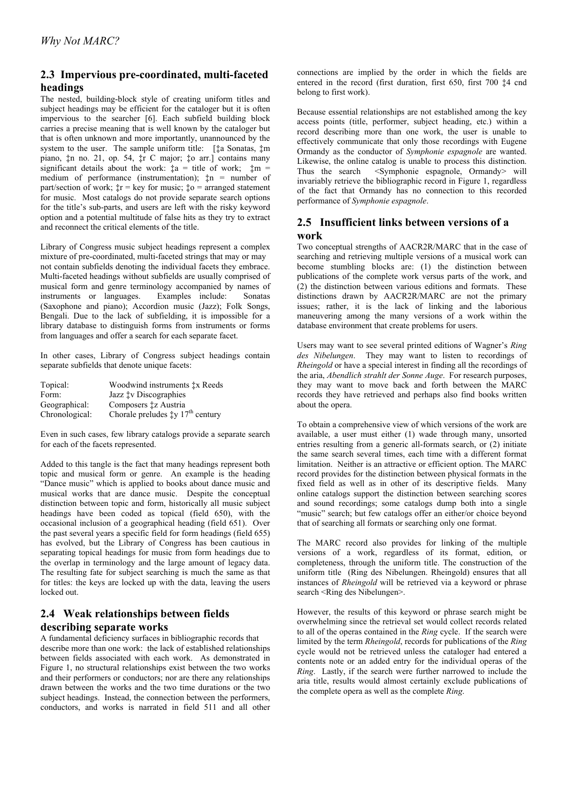# **2.3 Impervious pre-coordinated, multi-faceted headings**

The nested, building-block style of creating uniform titles and subject headings may be efficient for the cataloger but it is often impervious to the searcher [6]. Each subfield building block carries a precise meaning that is well known by the cataloger but that is often unknown and more importantly, unannounced by the system to the user. The sample uniform title: [ $\uparrow$ a Sonatas,  $\uparrow$ m] piano, ‡n no. 21, op. 54, ‡r C major; ‡o arr.] contains many significant details about the work:  $\ddagger a = \text{title of work}; \ddagger m =$ medium of performance (instrumentation); ‡n = number of part/section of work;  $\dot{\tau}r = \text{key}$  for music;  $\dot{\tau}o = \text{arranged}$  statement for music. Most catalogs do not provide separate search options for the title's sub-parts, and users are left with the risky keyword option and a potential multitude of false hits as they try to extract and reconnect the critical elements of the title.

Library of Congress music subject headings represent a complex mixture of pre-coordinated, multi-faceted strings that may or may not contain subfields denoting the individual facets they embrace. Multi-faceted headings without subfields are usually comprised of musical form and genre terminology accompanied by names of instruments or languages. Examples include: Sonatas (Saxophone and piano); Accordion music (Jazz); Folk Songs, Bengali. Due to the lack of subfielding, it is impossible for a library database to distinguish forms from instruments or forms from languages and offer a search for each separate facet.

In other cases, Library of Congress subject headings contain separate subfields that denote unique facets:

| Topical:       | Woodwind instruments $\ddagger x$ Reeds                |
|----------------|--------------------------------------------------------|
| Form:          | Jazz <sup>t</sup> v Discographies                      |
| Geographical:  | Composers ‡z Austria                                   |
| Chronological: | Chorale preludes $\ddagger y$ 17 <sup>th</sup> century |

Even in such cases, few library catalogs provide a separate search for each of the facets represented.

Added to this tangle is the fact that many headings represent both topic and musical form or genre. An example is the heading "Dance music" which is applied to books about dance music and musical works that are dance music. Despite the conceptual distinction between topic and form, historically all music subject headings have been coded as topical (field 650), with the occasional inclusion of a geographical heading (field 651). Over the past several years a specific field for form headings (field 655) has evolved, but the Library of Congress has been cautious in separating topical headings for music from form headings due to the overlap in terminology and the large amount of legacy data. The resulting fate for subject searching is much the same as that for titles: the keys are locked up with the data, leaving the users locked out.

# **2.4 Weak relationships between fields describing separate works**

A fundamental deficiency surfaces in bibliographic records that describe more than one work: the lack of established relationships between fields associated with each work. As demonstrated in Figure 1, no structural relationships exist between the two works and their performers or conductors; nor are there any relationships drawn between the works and the two time durations or the two subject headings. Instead, the connection between the performers, conductors, and works is narrated in field 511 and all other

connections are implied by the order in which the fields are entered in the record (first duration, first 650, first 700 ‡4 cnd belong to first work).

Because essential relationships are not established among the key access points (title, performer, subject heading, etc.) within a record describing more than one work, the user is unable to effectively communicate that only those recordings with Eugene Ormandy as the conductor of *Symphonie espagnole* are wanted. Likewise, the online catalog is unable to process this distinction. Thus the search <Symphonie espagnole, Ormandy> will invariably retrieve the bibliographic record in Figure 1, regardless of the fact that Ormandy has no connection to this recorded performance of *Symphonie espagnole*.

# **2.5 Insufficient links between versions of a work**

Two conceptual strengths of AACR2R/MARC that in the case of searching and retrieving multiple versions of a musical work can become stumbling blocks are: (1) the distinction between publications of the complete work versus parts of the work, and (2) the distinction between various editions and formats. These distinctions drawn by AACR2R/MARC are not the primary issues; rather, it is the lack of linking and the laborious maneuvering among the many versions of a work within the database environment that create problems for users.

Users may want to see several printed editions of Wagner's *Ring des Nibelungen*. They may want to listen to recordings of *Rheingold* or have a special interest in finding all the recordings of the aria, *Abendlich strahlt der Sonne Auge*. For research purposes, they may want to move back and forth between the MARC records they have retrieved and perhaps also find books written about the opera.

To obtain a comprehensive view of which versions of the work are available, a user must either (1) wade through many, unsorted entries resulting from a generic all-formats search, or (2) initiate the same search several times, each time with a different format limitation. Neither is an attractive or efficient option. The MARC record provides for the distinction between physical formats in the fixed field as well as in other of its descriptive fields. Many online catalogs support the distinction between searching scores and sound recordings; some catalogs dump both into a single "music" search; but few catalogs offer an either/or choice beyond that of searching all formats or searching only one format.

The MARC record also provides for linking of the multiple versions of a work, regardless of its format, edition, or completeness, through the uniform title. The construction of the uniform title (Ring des Nibelungen. Rheingold) ensures that all instances of *Rheingold* will be retrieved via a keyword or phrase search <Ring des Nibelungen>.

However, the results of this keyword or phrase search might be overwhelming since the retrieval set would collect records related to all of the operas contained in the *Ring* cycle. If the search were limited by the term *Rheingold*, records for publications of the *Ring* cycle would not be retrieved unless the cataloger had entered a contents note or an added entry for the individual operas of the *Ring*. Lastly, if the search were further narrowed to include the aria title, results would almost certainly exclude publications of the complete opera as well as the complete *Ring*.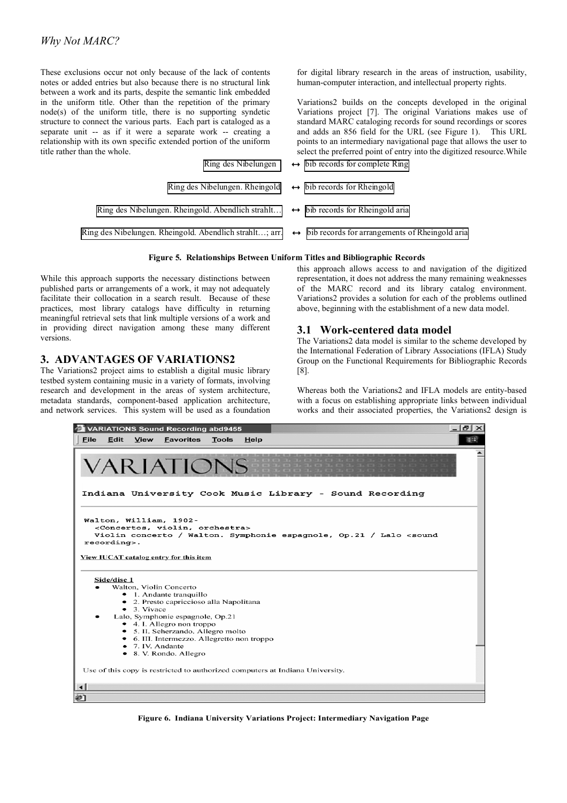These exclusions occur not only because of the lack of contents notes or added entries but also because there is no structural link between a work and its parts, despite the semantic link embedded in the uniform title. Other than the repetition of the primary node(s) of the uniform title, there is no supporting syndetic structure to connect the various parts. Each part is cataloged as a separate unit -- as if it were a separate work -- creating a relationship with its own specific extended portion of the uniform title rather than the whole.

points to an intermediary navigational page that allows the user to select the preferred point of entry into the digitized resource.While **Ring des Nibelungen**  $\leftrightarrow$  bib records for complete Ring **Ring des Nibelungen. Rheingold**  $\leftrightarrow$  bib records for Rheingold Ring des Nibelungen. Rheingold. Abendlich strahlt…  $\rightarrow$  bib records for Rheingold aria Ring des Nibelungen. Rheingold. Abendlich strahlt…; arr.  $\leftrightarrow$  bib records for arrangements of Rheingold aria



While this approach supports the necessary distinctions between published parts or arrangements of a work, it may not adequately facilitate their collocation in a search result. Because of these practices, most library catalogs have difficulty in returning meaningful retrieval sets that link multiple versions of a work and in providing direct navigation among these many different versions.

# **3. ADVANTAGES OF VARIATIONS2**

The Variations2 project aims to establish a digital music library testbed system containing music in a variety of formats, involving research and development in the areas of system architecture, metadata standards, component-based application architecture, and network services. This system will be used as a foundation this approach allows access to and navigation of the digitized representation, it does not address the many remaining weaknesses of the MARC record and its library catalog environment. Variations2 provides a solution for each of the problems outlined above, beginning with the establishment of a new data model.

for digital library research in the areas of instruction, usability, human-computer interaction, and intellectual property rights.

Variations2 builds on the concepts developed in the original Variations project [7]. The original Variations makes use of standard MARC cataloging records for sound recordings or scores and adds an 856 field for the URL (see Figure 1). This URL

### **3.1 Work-centered data model**

The Variations2 data model is similar to the scheme developed by the International Federation of Library Associations (IFLA) Study Group on the Functional Requirements for Bibliographic Records [8].

Whereas both the Variations2 and IFLA models are entity-based with a focus on establishing appropriate links between individual works and their associated properties, the Variations2 design is



**Figure 6. Indiana University Variations Project: Intermediary Navigation Page**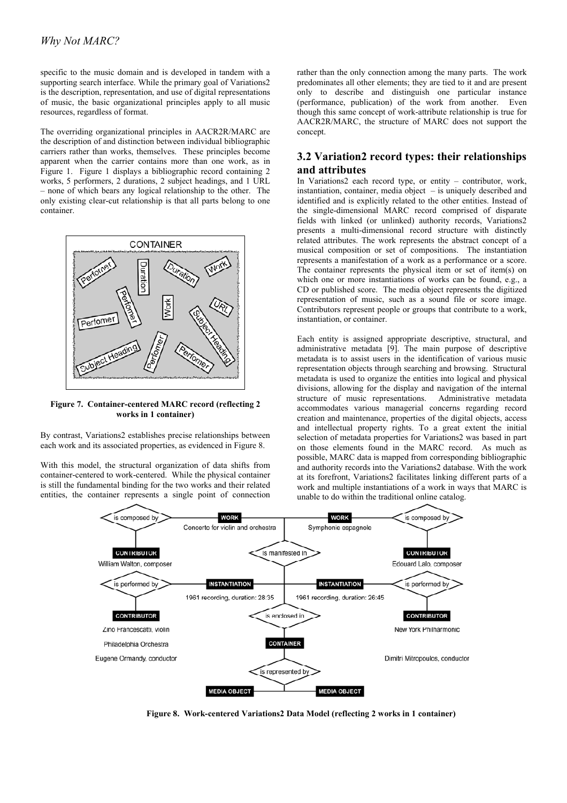specific to the music domain and is developed in tandem with a supporting search interface. While the primary goal of Variations2 is the description, representation, and use of digital representations of music, the basic organizational principles apply to all music resources, regardless of format.

The overriding organizational principles in AACR2R/MARC are the description of and distinction between individual bibliographic carriers rather than works, themselves. These principles become apparent when the carrier contains more than one work, as in Figure 1. Figure 1 displays a bibliographic record containing 2 works, 5 performers, 2 durations, 2 subject headings, and 1 URL – none of which bears any logical relationship to the other. The only existing clear-cut relationship is that all parts belong to one container.



**Figure 7. Container-centered MARC record (reflecting 2 works in 1 container)** 

By contrast, Variations2 establishes precise relationships between each work and its associated properties, as evidenced in Figure 8.

With this model, the structural organization of data shifts from container-centered to work-centered. While the physical container is still the fundamental binding for the two works and their related entities, the container represents a single point of connection rather than the only connection among the many parts. The work predominates all other elements; they are tied to it and are present only to describe and distinguish one particular instance (performance, publication) of the work from another. Even though this same concept of work-attribute relationship is true for AACR2R/MARC, the structure of MARC does not support the concept.

# **3.2 Variation2 record types: their relationships and attributes**

In Variations2 each record type, or entity – contributor, work, instantiation, container, media object – is uniquely described and identified and is explicitly related to the other entities. Instead of the single-dimensional MARC record comprised of disparate fields with linked (or unlinked) authority records, Variations2 presents a multi-dimensional record structure with distinctly related attributes. The work represents the abstract concept of a musical composition or set of compositions. The instantiation represents a manifestation of a work as a performance or a score. The container represents the physical item or set of item(s) on which one or more instantiations of works can be found, e.g., a CD or published score. The media object represents the digitized representation of music, such as a sound file or score image. Contributors represent people or groups that contribute to a work, instantiation, or container.

Each entity is assigned appropriate descriptive, structural, and administrative metadata [9]. The main purpose of descriptive metadata is to assist users in the identification of various music representation objects through searching and browsing. Structural metadata is used to organize the entities into logical and physical divisions, allowing for the display and navigation of the internal structure of music representations. Administrative metadata accommodates various managerial concerns regarding record creation and maintenance, properties of the digital objects, access and intellectual property rights. To a great extent the initial selection of metadata properties for Variations2 was based in part on those elements found in the MARC record. As much as possible, MARC data is mapped from corresponding bibliographic and authority records into the Variations2 database. With the work at its forefront, Variations2 facilitates linking different parts of a work and multiple instantiations of a work in ways that MARC is unable to do within the traditional online catalog.



**Figure 8. Work-centered Variations2 Data Model (reflecting 2 works in 1 container)**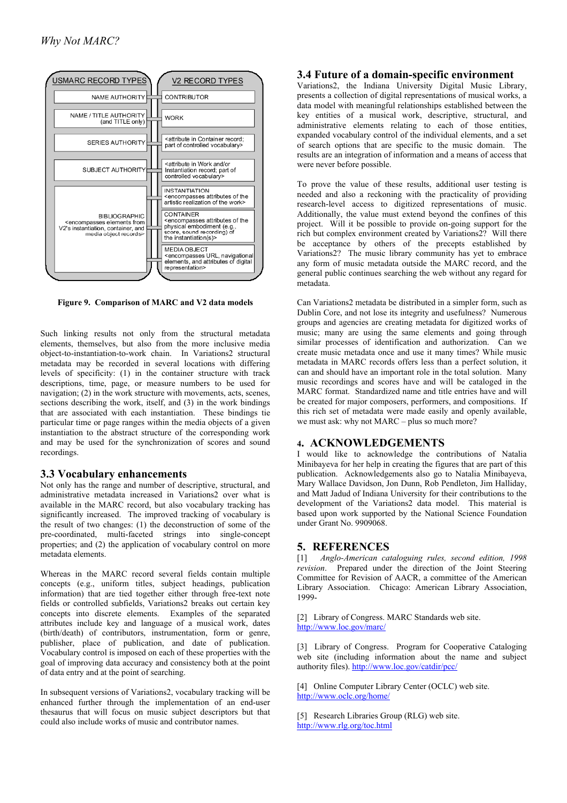

Such linking results not only from the structural metadata elements, themselves, but also from the more inclusive media object-to-instantiation-to-work chain. In Variations2 structural metadata may be recorded in several locations with differing levels of specificity: (1) in the container structure with track descriptions, time, page, or measure numbers to be used for navigation; (2) in the work structure with movements, acts, scenes, sections describing the work, itself, and (3) in the work bindings that are associated with each instantiation. These bindings tie particular time or page ranges within the media objects of a given instantiation to the abstract structure of the corresponding work and may be used for the synchronization of scores and sound recordings.

### **3.3 Vocabulary enhancements**

Not only has the range and number of descriptive, structural, and administrative metadata increased in Variations2 over what is available in the MARC record, but also vocabulary tracking has significantly increased. The improved tracking of vocabulary is the result of two changes: (1) the deconstruction of some of the pre-coordinated, multi-faceted strings into single-concept properties; and (2) the application of vocabulary control on more **5. REFERENCES** metadata elements.

Whereas in the MARC record several fields contain multiple concepts (e.g., uniform titles, subject headings, publication information) that are tied together either through free-text note fields or controlled subfields, Variations2 breaks out certain key concepts into discrete elements. Examples of the separated attributes include key and language of a musical work, dates (birth/death) of contributors, instrumentation, form or genre, publisher, place of publication, and date of publication. Vocabulary control is imposed on each of these properties with the goal of improving data accuracy and consistency both at the point of data entry and at the point of searching.

enhanced further through the implementation of an end-user thesaurus that will focus on music subject descriptors but that could also include works of music and contributor names.

# **3.4 Future of a domain-specific environment**

Variations2, the Indiana University Digital Music Library, presents a collection of digital representations of musical works, a data model with meaningful relationships established between the key entities of a musical work, descriptive, structural, and administrative elements relating to each of those entities, expanded vocabulary control of the individual elements, and a set of search options that are specific to the music domain. The results are an integration of information and a means of access that were never before possible.

To prove the value of these results, additional user testing is needed and also a reckoning with the practicality of providing research-level access to digitized representations of music. Additionally, the value must extend beyond the confines of this project. Will it be possible to provide on-going support for the rich but complex environment created by Variations2? Will there be acceptance by others of the precepts established by Variations2? The music library community has yet to embrace any form of music metadata outside the MARC record, and the general public continues searching the web without any regard for metadata.

**Figure 9. Comparison of MARC and V2 data models** Can Variations2 metadata be distributed in a simpler form, such as Dublin Core, and not lose its integrity and usefulness? Numerous groups and agencies are creating metadata for digitized works of music; many are using the same elements and going through similar processes of identification and authorization. Can we create music metadata once and use it many times? While music metadata in MARC records offers less than a perfect solution, it can and should have an important role in the total solution. Many music recordings and scores have and will be cataloged in the MARC format. Standardized name and title entries have and will be created for major composers, performers, and compositions. If this rich set of metadata were made easily and openly available, we must ask: why not MARC – plus so much more?

### **4. ACKNOWLEDGEMENTS**

I would like to acknowledge the contributions of Natalia Minibayeva for her help in creating the figures that are part of this publication. Acknowledgements also go to Natalia Minibayeva, Mary Wallace Davidson, Jon Dunn, Rob Pendleton, Jim Halliday, and Matt Jadud of Indiana University for their contributions to the development of the Variations2 data model. This material is based upon work supported by the National Science Foundation under Grant No. 9909068.

[1] *Anglo-American cataloguing rules, second edition, 1998 revision*. Prepared under the direction of the Joint Steering Committee for Revision of AACR, a committee of the American Library Association. Chicago: American Library Association, 1999-

[2] Library of Congress. MARC Standards web site. <http://www.loc.gov/marc/>

[3] Library of Congress. Program for Cooperative Cataloging web site (including information about the name and subject authority files). <http://www.loc.gov/catdir/pcc/>

[4] Online Computer Library Center (OCLC) web site. In subsequent versions of Variations2, vocabulary tracking will be <http://www.oclc.org/home/>

> [5] Research Libraries Group (RLG) web site. <http://www.rlg.org/toc.html>